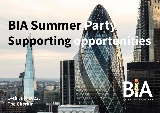# BIA Summer Part Supporting

**Example 14th July 2022,** The Gherkin



**UK BioIndustry Association**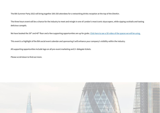The BIA Summer Party 2022 will bring together 200-250 attendees for a networking drinks reception at the top of the Gherkin.

The three hours event will be a chance for the industry to meet and mingle in one of London's most iconic skyscrapers, while sipping cocktails and tasting delicious canapés.

We have booked the 39<sup>th</sup> and 40<sup>th</sup> floor and a few supporting opportunities are up for grabs. [Click here to see a 3D video of the spaces we will be using.](https://my.matterport.com/show/?m=1YgZNj4D2qY)

This event is a highlight of the BIA social event calendar and sponsoring it will enhance your company's visibility within the industry.

All supporting opportunities include logo on all pre-event marketing and 2+ delegate tickets.

Please scroll down to find out more.

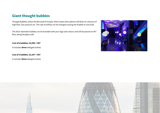## **Giant thought bubbles**

Thought Bubbles utilise the Bernoulli Principle, which states that spheres will float on columns of high flow, low-pressure air. The rate of airflow can be changed causing the bubble to rise & fall.

The 50cm diameter bubbles can be branded with your logo and colours and will be placed on 40<sup>th</sup> floor along the glass wall.

#### **Cost of 6 bubbles: £5,690 + VAT**

It includes **three** delegate tickets

#### **Cost of 3 bubbles: £3,297 + VAT**

It includes **three** delegate tickets



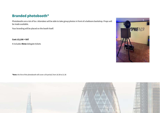## **Branded photobooth\***

Photobooths are a lot of fun. Attendees will be able to take group photos in front of a balloons backdrop. Props will be made available.

Your branding will be placed on the booth itself.

**Cost: £3,190 + VAT**

It includes **three** delegate tickets

**\*Note:** the hire of the photobooth will cover a 3h period, from 18.30 to 21.30



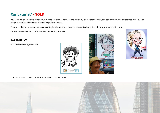## **Caricaturist\* - SOLD**

You could have your very own caricaturist mingle with our attendees and design digital caricatures with your logo on them. The caricaturist would also be happy to sport a t-shirt with your branding (BIA can source).

They will either walk around the space chatting to attendees or sit next to a screen displaying their drawings, or a mix of the two!

Caricatures are then sent to the attendees via airdrop or email.

**Cost**: **£2,990 + VAT**

It includes **two** delegate tickets







**\*Note:** the hire of the caricaturist will cover a 3h period, from 18.30 to 21.30



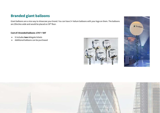#### **Branded giant balloons**

Giant balloons are a nice way to showcase your brand. You can have 3+ helium balloons with your logo on them. The balloons are 29 inches wide and would be placed on 39<sup>th</sup> floor.

#### **Cost of 3 branded balloons**: **£757 + VAT**

- It includes **two** delegate tickets
- Additional balloons can be purchased